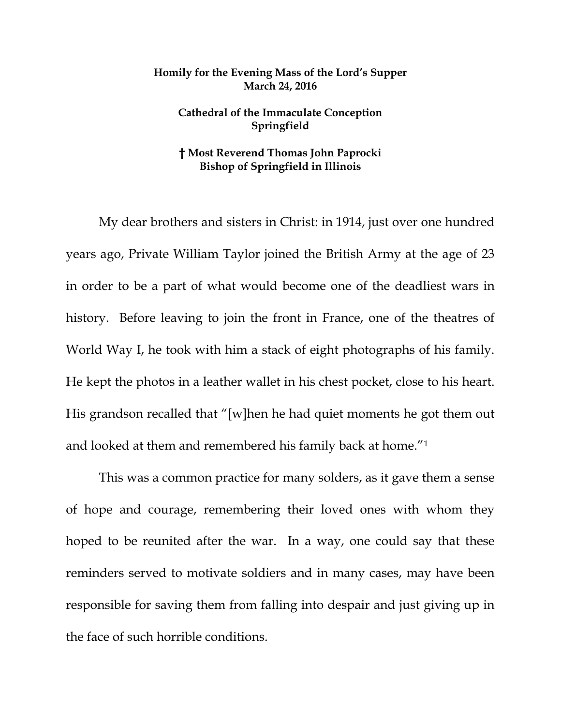## **Homily for the Evening Mass of the Lord's Supper March 24, 2016**

## **Cathedral of the Immaculate Conception Springfield**

## **† Most Reverend Thomas John Paprocki Bishop of Springfield in Illinois**

My dear brothers and sisters in Christ: in 1914, just over one hundred years ago, Private William Taylor joined the British Army at the age of 23 in order to be a part of what would become one of the deadliest wars in history. Before leaving to join the front in France, one of the theatres of World Way I, he took with him a stack of eight photographs of his family. He kept the photos in a leather wallet in his chest pocket, close to his heart. His grandson recalled that "[w]hen he had quiet moments he got them out and looked at them and remembered his family back at home."1

 This was a common practice for many solders, as it gave them a sense of hope and courage, remembering their loved ones with whom they hoped to be reunited after the war. In a way, one could say that these reminders served to motivate soldiers and in many cases, may have been responsible for saving them from falling into despair and just giving up in the face of such horrible conditions.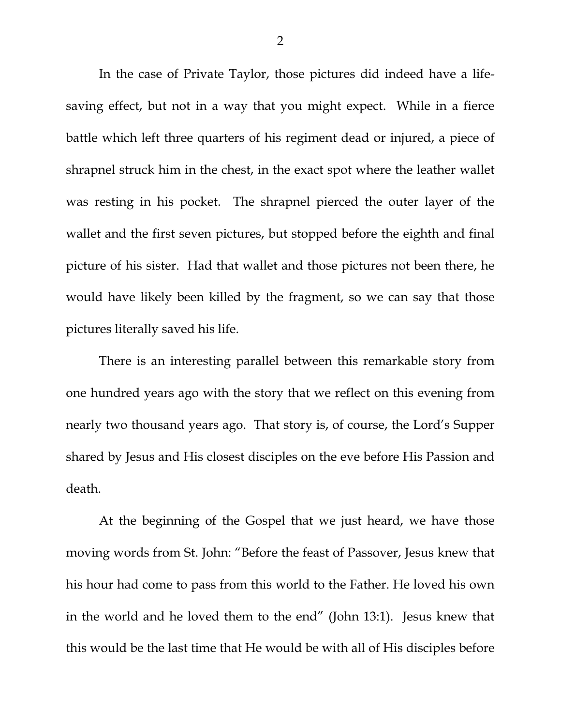In the case of Private Taylor, those pictures did indeed have a lifesaving effect, but not in a way that you might expect. While in a fierce battle which left three quarters of his regiment dead or injured, a piece of shrapnel struck him in the chest, in the exact spot where the leather wallet was resting in his pocket. The shrapnel pierced the outer layer of the wallet and the first seven pictures, but stopped before the eighth and final picture of his sister. Had that wallet and those pictures not been there, he would have likely been killed by the fragment, so we can say that those pictures literally saved his life.

 There is an interesting parallel between this remarkable story from one hundred years ago with the story that we reflect on this evening from nearly two thousand years ago. That story is, of course, the Lord's Supper shared by Jesus and His closest disciples on the eve before His Passion and death.

 At the beginning of the Gospel that we just heard, we have those moving words from St. John: "Before the feast of Passover, Jesus knew that his hour had come to pass from this world to the Father. He loved his own in the world and he loved them to the end" (John 13:1). Jesus knew that this would be the last time that He would be with all of His disciples before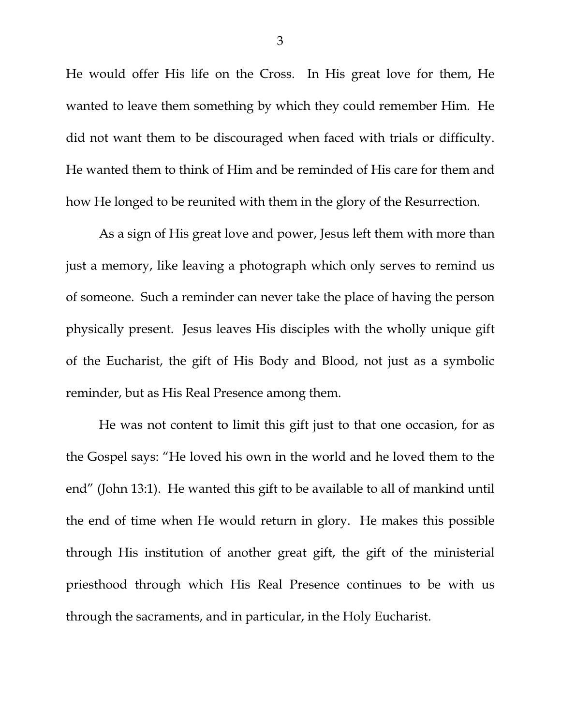He would offer His life on the Cross. In His great love for them, He wanted to leave them something by which they could remember Him. He did not want them to be discouraged when faced with trials or difficulty. He wanted them to think of Him and be reminded of His care for them and how He longed to be reunited with them in the glory of the Resurrection.

 As a sign of His great love and power, Jesus left them with more than just a memory, like leaving a photograph which only serves to remind us of someone. Such a reminder can never take the place of having the person physically present. Jesus leaves His disciples with the wholly unique gift of the Eucharist, the gift of His Body and Blood, not just as a symbolic reminder, but as His Real Presence among them.

 He was not content to limit this gift just to that one occasion, for as the Gospel says: "He loved his own in the world and he loved them to the end" (John 13:1). He wanted this gift to be available to all of mankind until the end of time when He would return in glory. He makes this possible through His institution of another great gift, the gift of the ministerial priesthood through which His Real Presence continues to be with us through the sacraments, and in particular, in the Holy Eucharist.

3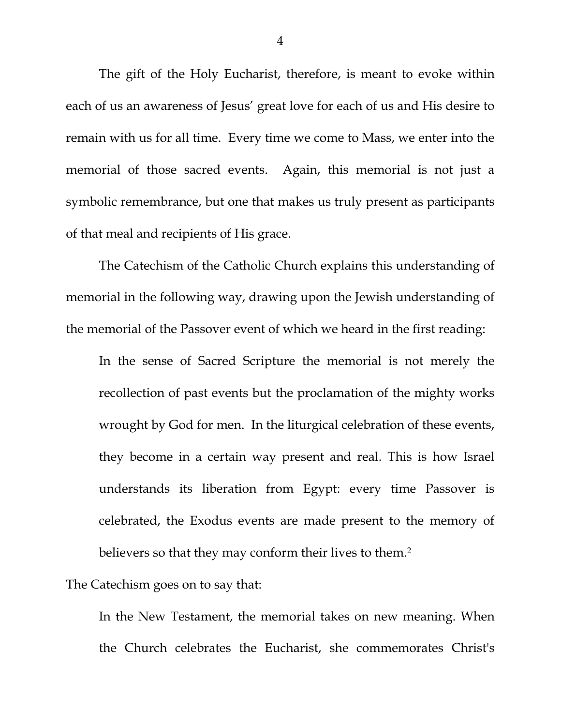The gift of the Holy Eucharist, therefore, is meant to evoke within each of us an awareness of Jesus' great love for each of us and His desire to remain with us for all time. Every time we come to Mass, we enter into the memorial of those sacred events. Again, this memorial is not just a symbolic remembrance, but one that makes us truly present as participants of that meal and recipients of His grace.

 The Catechism of the Catholic Church explains this understanding of memorial in the following way, drawing upon the Jewish understanding of the memorial of the Passover event of which we heard in the first reading:

In the sense of Sacred Scripture the memorial is not merely the recollection of past events but the proclamation of the mighty works wrought by God for men. In the liturgical celebration of these events, they become in a certain way present and real. This is how Israel understands its liberation from Egypt: every time Passover is celebrated, the Exodus events are made present to the memory of believers so that they may conform their lives to them.<sup>2</sup>

The Catechism goes on to say that:

In the New Testament, the memorial takes on new meaning. When the Church celebrates the Eucharist, she commemorates Christ's

4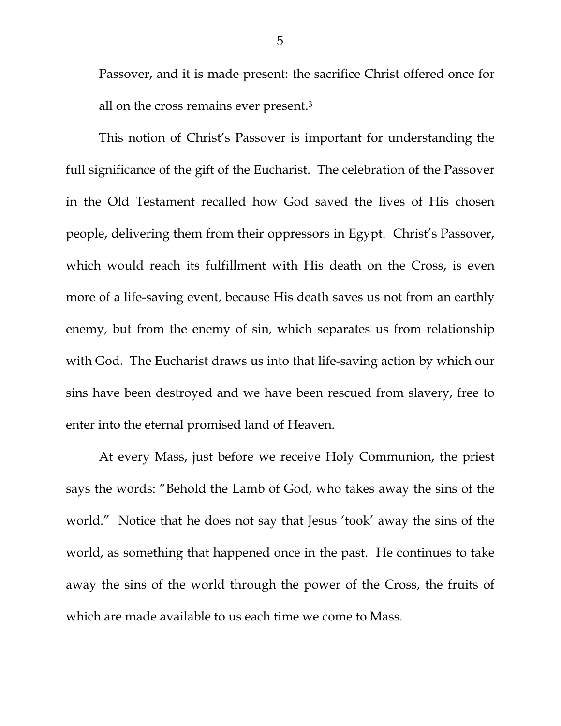Passover, and it is made present: the sacrifice Christ offered once for all on the cross remains ever present.3

This notion of Christ's Passover is important for understanding the full significance of the gift of the Eucharist. The celebration of the Passover in the Old Testament recalled how God saved the lives of His chosen people, delivering them from their oppressors in Egypt. Christ's Passover, which would reach its fulfillment with His death on the Cross, is even more of a life-saving event, because His death saves us not from an earthly enemy, but from the enemy of sin, which separates us from relationship with God. The Eucharist draws us into that life-saving action by which our sins have been destroyed and we have been rescued from slavery, free to enter into the eternal promised land of Heaven.

At every Mass, just before we receive Holy Communion, the priest says the words: "Behold the Lamb of God, who takes away the sins of the world." Notice that he does not say that Jesus 'took' away the sins of the world, as something that happened once in the past. He continues to take away the sins of the world through the power of the Cross, the fruits of which are made available to us each time we come to Mass.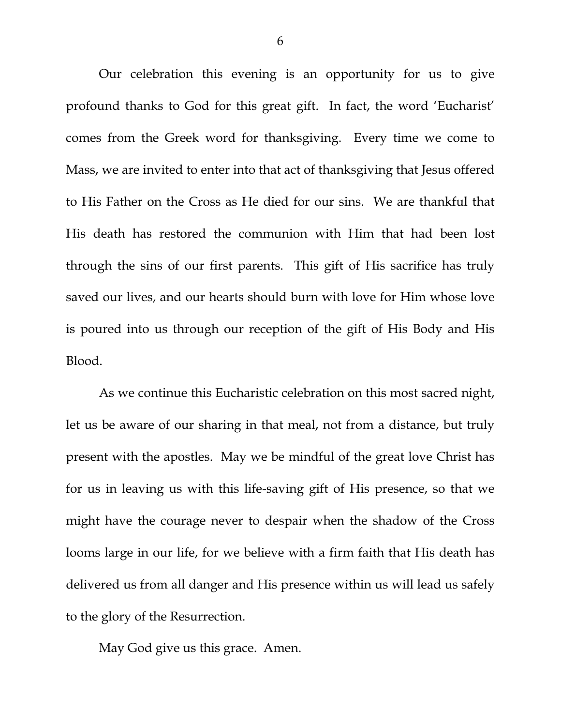Our celebration this evening is an opportunity for us to give profound thanks to God for this great gift. In fact, the word 'Eucharist' comes from the Greek word for thanksgiving. Every time we come to Mass, we are invited to enter into that act of thanksgiving that Jesus offered to His Father on the Cross as He died for our sins. We are thankful that His death has restored the communion with Him that had been lost through the sins of our first parents. This gift of His sacrifice has truly saved our lives, and our hearts should burn with love for Him whose love is poured into us through our reception of the gift of His Body and His Blood.

As we continue this Eucharistic celebration on this most sacred night, let us be aware of our sharing in that meal, not from a distance, but truly present with the apostles. May we be mindful of the great love Christ has for us in leaving us with this life-saving gift of His presence, so that we might have the courage never to despair when the shadow of the Cross looms large in our life, for we believe with a firm faith that His death has delivered us from all danger and His presence within us will lead us safely to the glory of the Resurrection.

May God give us this grace. Amen.